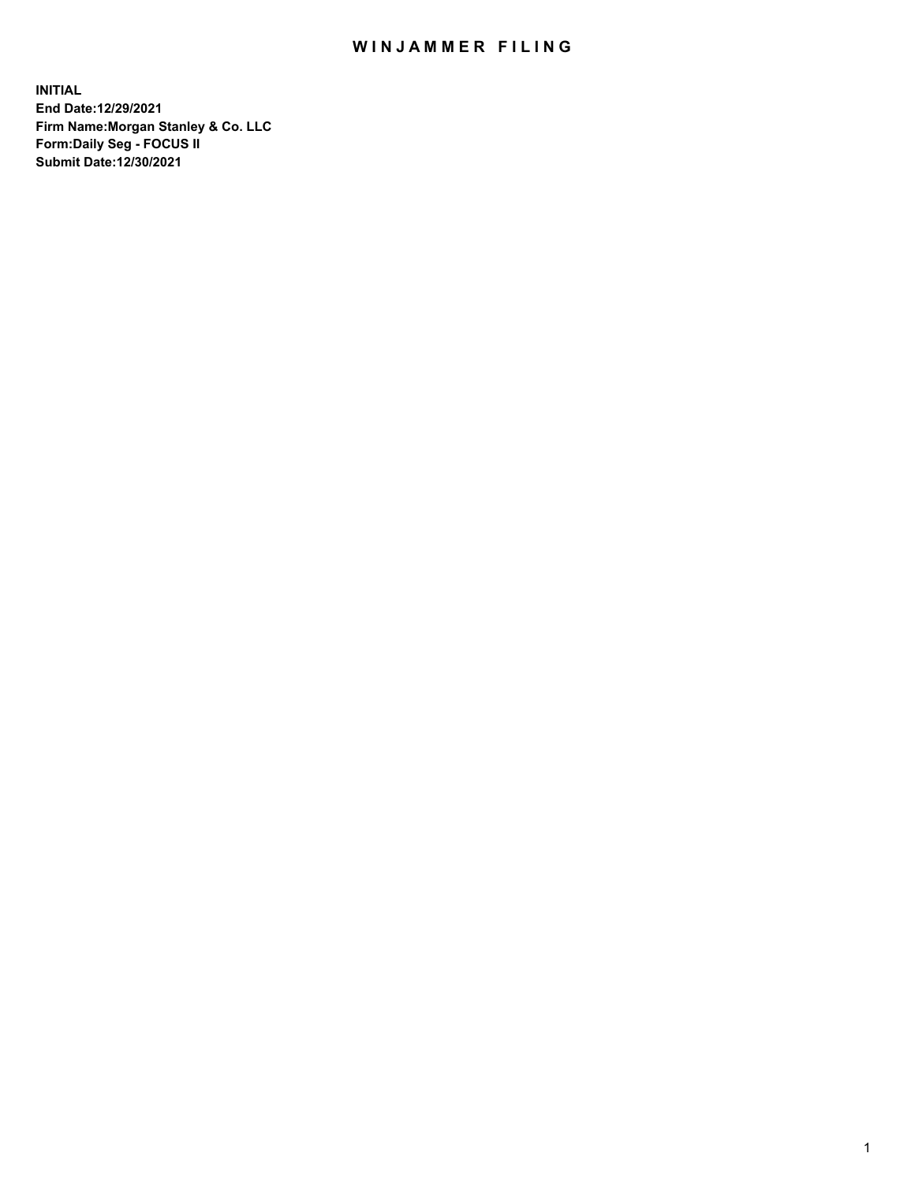## WIN JAMMER FILING

**INITIAL End Date:12/29/2021 Firm Name:Morgan Stanley & Co. LLC Form:Daily Seg - FOCUS II Submit Date:12/30/2021**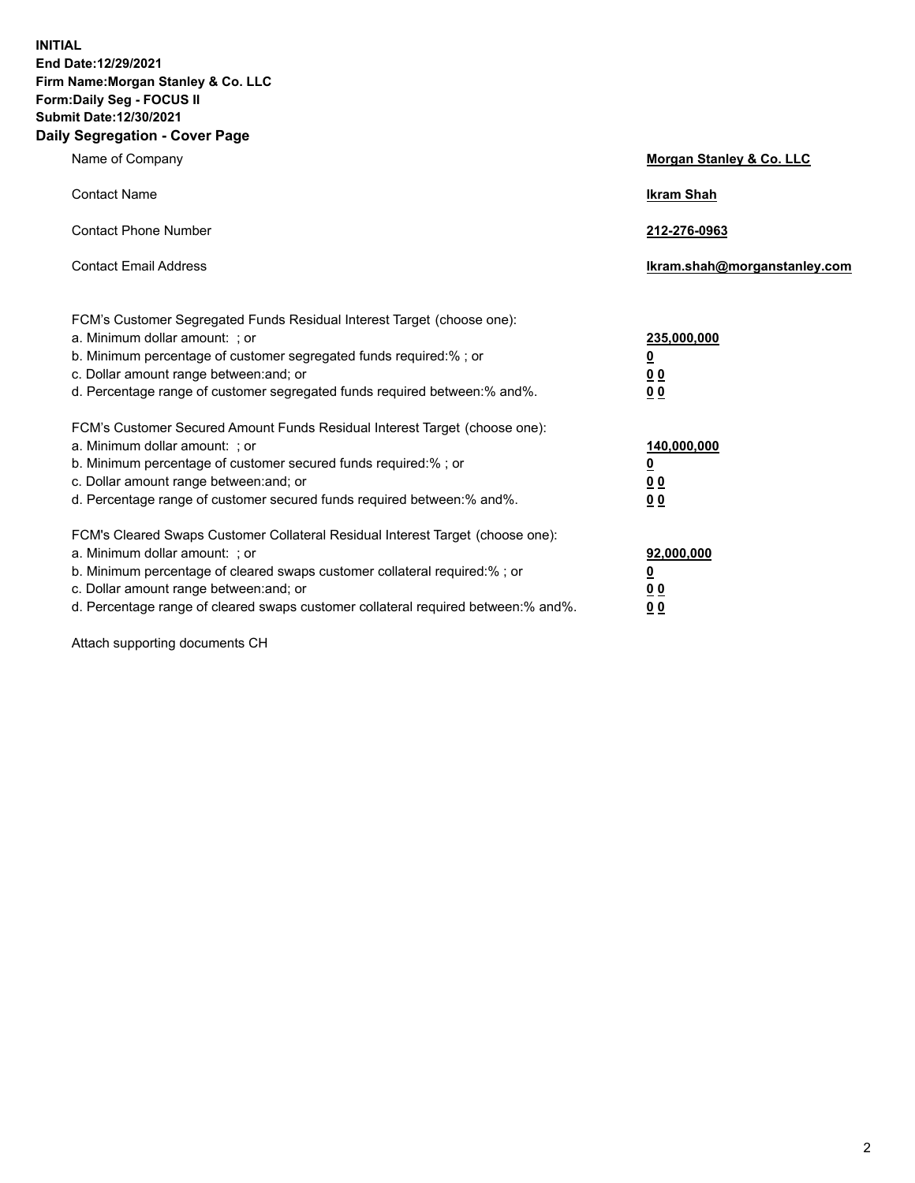**INITIAL End Date:12/29/2021 Firm Name:Morgan Stanley & Co. LLC Form:Daily Seg - FOCUS II Submit Date:12/30/2021 Daily Segregation - Cover Page**

| Name of Company                                                                                                                                                                                                                                                                                                                | Morgan Stanley & Co. LLC                               |
|--------------------------------------------------------------------------------------------------------------------------------------------------------------------------------------------------------------------------------------------------------------------------------------------------------------------------------|--------------------------------------------------------|
| <b>Contact Name</b>                                                                                                                                                                                                                                                                                                            | <b>Ikram Shah</b>                                      |
| <b>Contact Phone Number</b>                                                                                                                                                                                                                                                                                                    | 212-276-0963                                           |
| <b>Contact Email Address</b>                                                                                                                                                                                                                                                                                                   | Ikram.shah@morganstanley.com                           |
| FCM's Customer Segregated Funds Residual Interest Target (choose one):<br>a. Minimum dollar amount: ; or<br>b. Minimum percentage of customer segregated funds required:% ; or<br>c. Dollar amount range between: and; or<br>d. Percentage range of customer segregated funds required between: % and %.                       | 235,000,000<br><u>0</u><br>00<br>0 <sub>0</sub>        |
| FCM's Customer Secured Amount Funds Residual Interest Target (choose one):<br>a. Minimum dollar amount: ; or<br>b. Minimum percentage of customer secured funds required:%; or<br>c. Dollar amount range between: and; or<br>d. Percentage range of customer secured funds required between:% and%.                            | 140,000,000<br><u>0</u><br><u>00</u><br>0 <sub>0</sub> |
| FCM's Cleared Swaps Customer Collateral Residual Interest Target (choose one):<br>a. Minimum dollar amount: ; or<br>b. Minimum percentage of cleared swaps customer collateral required:% ; or<br>c. Dollar amount range between: and; or<br>d. Percentage range of cleared swaps customer collateral required between:% and%. | 92,000,000<br><u>0</u><br><u>00</u><br>0 <sub>0</sub>  |

Attach supporting documents CH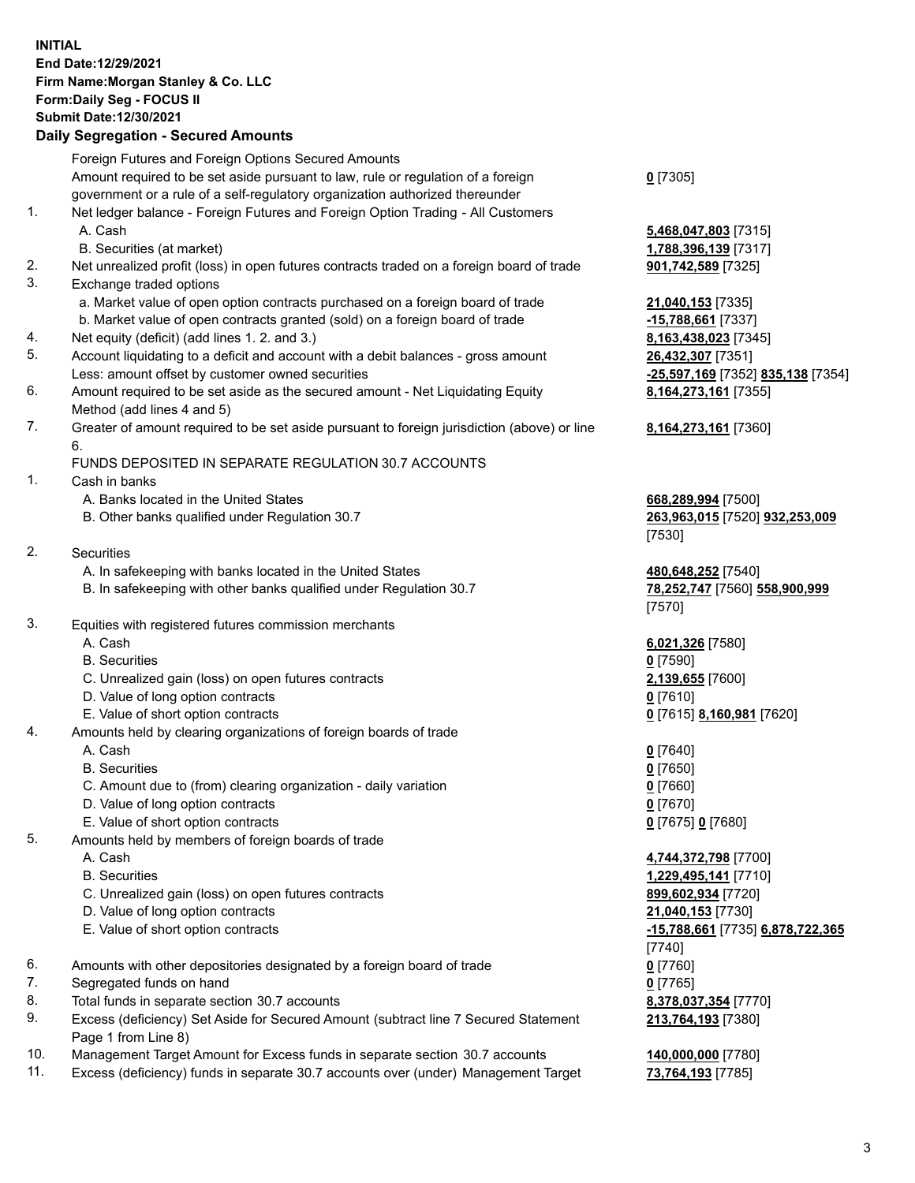## **INITIAL End Date:12/29/2021 Firm Name:Morgan Stanley & Co. LLC Form:Daily Seg - FOCUS II Submit Date:12/30/2021**

## **Daily Segregation - Secured Amounts**

Foreign Futures and Foreign Options Secured Amounts Amount required to be set aside pursuant to law, rule or regulation of a foreign government or a rule of a self-regulatory organization authorized thereunder 1. Net ledger balance - Foreign Futures and Foreign Option Trading - All Customers A. Cash **5,468,047,803** [7315] B. Securities (at market) **1,788,396,139** [7317] 2. Net unrealized profit (loss) in open futures contracts traded on a foreign board of trade **901,742,589** [7325] 3. Exchange traded options a. Market value of open option contracts purchased on a foreign board of trade **21,040,153** [7335] b. Market value of open contracts granted (sold) on a foreign board of trade **-15,788,661** [7337] 4. Net equity (deficit) (add lines 1. 2. and 3.) **8,163,438,023** [7345] 5. Account liquidating to a deficit and account with a debit balances - gross amount **26,432,307** [7351] Less: amount offset by customer owned securities **-25,597,169** [7352] **835,138** [7354] 6. Amount required to be set aside as the secured amount - Net Liquidating Equity Method (add lines 4 and 5) 7. Greater of amount required to be set aside pursuant to foreign jurisdiction (above) or line 6. FUNDS DEPOSITED IN SEPARATE REGULATION 30.7 ACCOUNTS 1. Cash in banks A. Banks located in the United States **668,289,994** [7500] B. Other banks qualified under Regulation 30.7 **263,963,015** [7520] **932,253,009** [7530] 2. Securities A. In safekeeping with banks located in the United States **480,648,252** [7540] B. In safekeeping with other banks qualified under Regulation 30.7 **78,252,747** [7560] **558,900,999** [7570] 3. Equities with registered futures commission merchants A. Cash **6,021,326** [7580] B. Securities **0** [7590] C. Unrealized gain (loss) on open futures contracts **2,139,655** [7600] D. Value of long option contracts **0** [7610] E. Value of short option contracts **0** [7615] **8,160,981** [7620] 4. Amounts held by clearing organizations of foreign boards of trade A. Cash **0** [7640] B. Securities **0** [7650] C. Amount due to (from) clearing organization - daily variation **0** [7660] D. Value of long option contracts **0** [7670] E. Value of short option contracts **0** [7675] **0** [7680] 5. Amounts held by members of foreign boards of trade A. Cash **4,744,372,798** [7700] B. Securities **1,229,495,141** [7710] C. Unrealized gain (loss) on open futures contracts **899,602,934** [7720] D. Value of long option contracts **21,040,153** [7730] E. Value of short option contracts **-15,788,661** [7735] **6,878,722,365** [7740] 6. Amounts with other depositories designated by a foreign board of trade **0** [7760] 7. Segregated funds on hand **0** [7765] 8. Total funds in separate section 30.7 accounts **8,378,037,354** [7770] 9. Excess (deficiency) Set Aside for Secured Amount (subtract line 7 Secured Statement Page 1 from Line 8)

- 10. Management Target Amount for Excess funds in separate section 30.7 accounts **140,000,000** [7780]
- 11. Excess (deficiency) funds in separate 30.7 accounts over (under) Management Target **73,764,193** [7785]

**0** [7305]

**8,164,273,161** [7355]

## **8,164,273,161** [7360]

**213,764,193** [7380]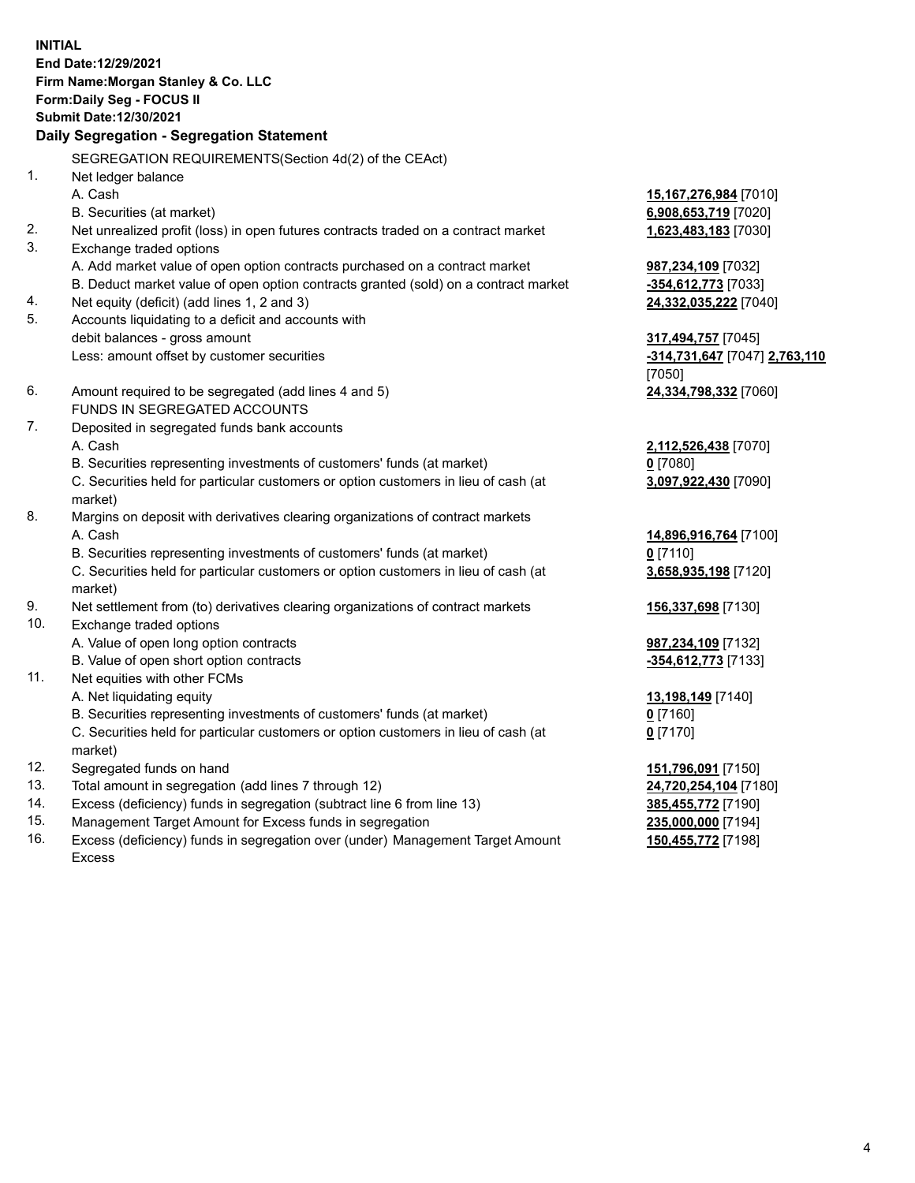**INITIAL End Date:12/29/2021 Firm Name:Morgan Stanley & Co. LLC Form:Daily Seg - FOCUS II Submit Date:12/30/2021 Daily Segregation - Segregation Statement** SEGREGATION REQUIREMENTS(Section 4d(2) of the CEAct) 1. Net ledger balance A. Cash **15,167,276,984** [7010] B. Securities (at market) **6,908,653,719** [7020] 2. Net unrealized profit (loss) in open futures contracts traded on a contract market **1,623,483,183** [7030] 3. Exchange traded options A. Add market value of open option contracts purchased on a contract market **987,234,109** [7032] B. Deduct market value of open option contracts granted (sold) on a contract market **-354,612,773** [7033] 4. Net equity (deficit) (add lines 1, 2 and 3) **24,332,035,222** [7040] 5. Accounts liquidating to a deficit and accounts with debit balances - gross amount **317,494,757** [7045] Less: amount offset by customer securities **-314,731,647** [7047] **2,763,110** [7050] 6. Amount required to be segregated (add lines 4 and 5) **24,334,798,332** [7060] FUNDS IN SEGREGATED ACCOUNTS 7. Deposited in segregated funds bank accounts A. Cash **2,112,526,438** [7070] B. Securities representing investments of customers' funds (at market) **0** [7080] C. Securities held for particular customers or option customers in lieu of cash (at market) **3,097,922,430** [7090] 8. Margins on deposit with derivatives clearing organizations of contract markets A. Cash **14,896,916,764** [7100] B. Securities representing investments of customers' funds (at market) **0** [7110] C. Securities held for particular customers or option customers in lieu of cash (at market) **3,658,935,198** [7120] 9. Net settlement from (to) derivatives clearing organizations of contract markets **156,337,698** [7130] 10. Exchange traded options A. Value of open long option contracts **987,234,109** [7132] B. Value of open short option contracts **-354,612,773** [7133] 11. Net equities with other FCMs A. Net liquidating equity **13,198,149** [7140] B. Securities representing investments of customers' funds (at market) **0** [7160] C. Securities held for particular customers or option customers in lieu of cash (at market) **0** [7170] 12. Segregated funds on hand **151,796,091** [7150] 13. Total amount in segregation (add lines 7 through 12) **24,720,254,104** [7180] 14. Excess (deficiency) funds in segregation (subtract line 6 from line 13) **385,455,772** [7190] 15. Management Target Amount for Excess funds in segregation **235,000,000** [7194]

16. Excess (deficiency) funds in segregation over (under) Management Target Amount Excess

**150,455,772** [7198]